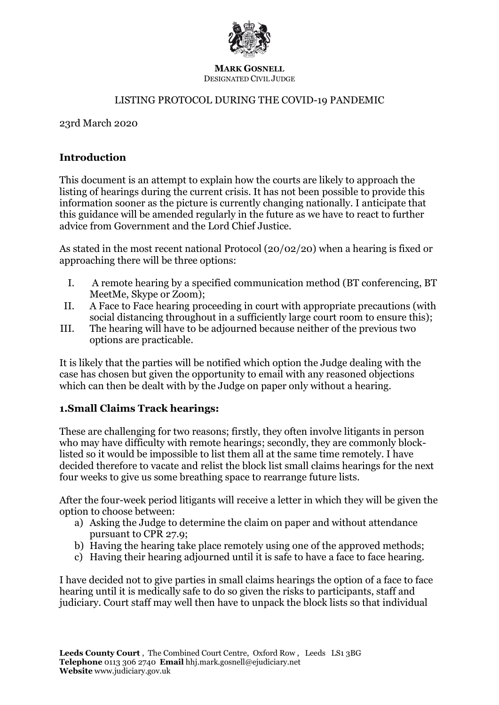

#### **MARK GOSNELL** DESIGNATED CIVIL JUDGE

#### LISTING PROTOCOL DURING THE COVID-19 PANDEMIC

23rd March 2020

#### **Introduction**

This document is an attempt to explain how the courts are likely to approach the listing of hearings during the current crisis. It has not been possible to provide this information sooner as the picture is currently changing nationally. I anticipate that this guidance will be amended regularly in the future as we have to react to further advice from Government and the Lord Chief Justice.

As stated in the most recent national Protocol (20/02/20) when a hearing is fixed or approaching there will be three options:

- I. A remote hearing by a specified communication method (BT conferencing, BT MeetMe, Skype or Zoom);
- II. A Face to Face hearing proceeding in court with appropriate precautions (with social distancing throughout in a sufficiently large court room to ensure this);
- III. The hearing will have to be adjourned because neither of the previous two options are practicable.

It is likely that the parties will be notified which option the Judge dealing with the case has chosen but given the opportunity to email with any reasoned objections which can then be dealt with by the Judge on paper only without a hearing.

## **1.Small Claims Track hearings:**

These are challenging for two reasons; firstly, they often involve litigants in person who may have difficulty with remote hearings; secondly, they are commonly blocklisted so it would be impossible to list them all at the same time remotely. I have decided therefore to vacate and relist the block list small claims hearings for the next four weeks to give us some breathing space to rearrange future lists.

After the four-week period litigants will receive a letter in which they will be given the option to choose between:

- a) Asking the Judge to determine the claim on paper and without attendance pursuant to CPR 27.9;
- b) Having the hearing take place remotely using one of the approved methods;
- c) Having their hearing adjourned until it is safe to have a face to face hearing.

I have decided not to give parties in small claims hearings the option of a face to face hearing until it is medically safe to do so given the risks to participants, staff and judiciary. Court staff may well then have to unpack the block lists so that individual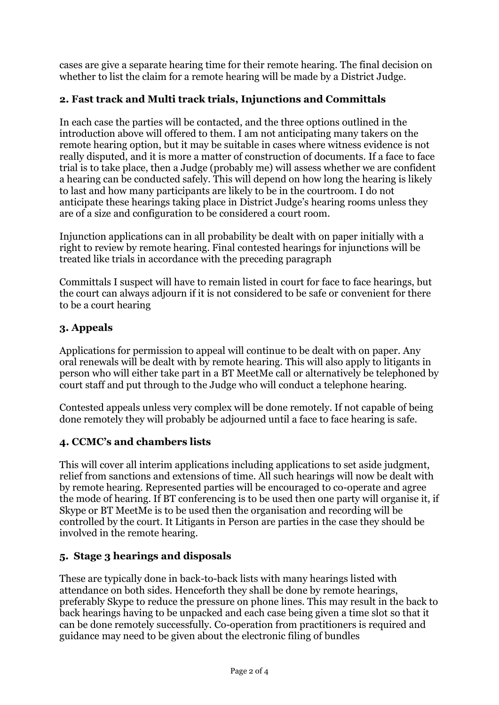cases are give a separate hearing time for their remote hearing. The final decision on whether to list the claim for a remote hearing will be made by a District Judge.

# **2. Fast track and Multi track trials, Injunctions and Committals**

In each case the parties will be contacted, and the three options outlined in the introduction above will offered to them. I am not anticipating many takers on the remote hearing option, but it may be suitable in cases where witness evidence is not really disputed, and it is more a matter of construction of documents. If a face to face trial is to take place, then a Judge (probably me) will assess whether we are confident a hearing can be conducted safely. This will depend on how long the hearing is likely to last and how many participants are likely to be in the courtroom. I do not anticipate these hearings taking place in District Judge's hearing rooms unless they are of a size and configuration to be considered a court room.

Injunction applications can in all probability be dealt with on paper initially with a right to review by remote hearing. Final contested hearings for injunctions will be treated like trials in accordance with the preceding paragraph

Committals I suspect will have to remain listed in court for face to face hearings, but the court can always adjourn if it is not considered to be safe or convenient for there to be a court hearing

# **3. Appeals**

Applications for permission to appeal will continue to be dealt with on paper. Any oral renewals will be dealt with by remote hearing. This will also apply to litigants in person who will either take part in a BT MeetMe call or alternatively be telephoned by court staff and put through to the Judge who will conduct a telephone hearing.

Contested appeals unless very complex will be done remotely. If not capable of being done remotely they will probably be adjourned until a face to face hearing is safe.

## **4. CCMC's and chambers lists**

This will cover all interim applications including applications to set aside judgment, relief from sanctions and extensions of time. All such hearings will now be dealt with by remote hearing. Represented parties will be encouraged to co-operate and agree the mode of hearing. If BT conferencing is to be used then one party will organise it, if Skype or BT MeetMe is to be used then the organisation and recording will be controlled by the court. It Litigants in Person are parties in the case they should be involved in the remote hearing.

## **5. Stage 3 hearings and disposals**

These are typically done in back-to-back lists with many hearings listed with attendance on both sides. Henceforth they shall be done by remote hearings, preferably Skype to reduce the pressure on phone lines. This may result in the back to back hearings having to be unpacked and each case being given a time slot so that it can be done remotely successfully. Co-operation from practitioners is required and guidance may need to be given about the electronic filing of bundles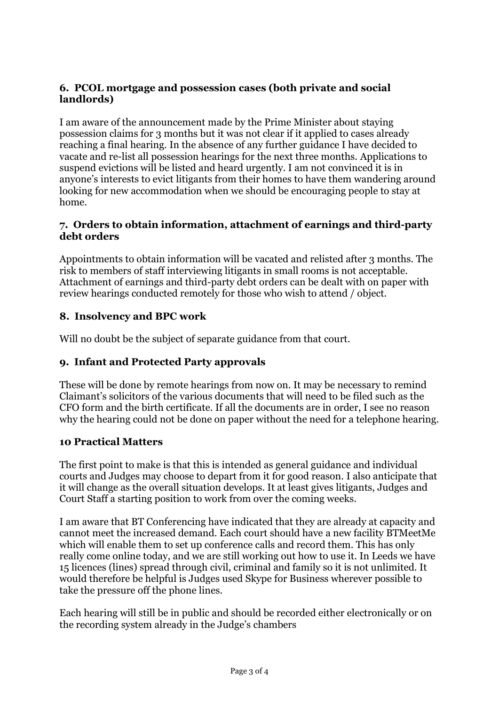## **6. PCOL mortgage and possession cases (both private and social landlords)**

I am aware of the announcement made by the Prime Minister about staying possession claims for 3 months but it was not clear if it applied to cases already reaching a final hearing. In the absence of any further guidance I have decided to vacate and re-list all possession hearings for the next three months. Applications to suspend evictions will be listed and heard urgently. I am not convinced it is in anyone's interests to evict litigants from their homes to have them wandering around looking for new accommodation when we should be encouraging people to stay at home.

#### **7. Orders to obtain information, attachment of earnings and third-party debt orders**

Appointments to obtain information will be vacated and relisted after 3 months. The risk to members of staff interviewing litigants in small rooms is not acceptable. Attachment of earnings and third-party debt orders can be dealt with on paper with review hearings conducted remotely for those who wish to attend / object.

# **8. Insolvency and BPC work**

Will no doubt be the subject of separate guidance from that court.

# **9. Infant and Protected Party approvals**

These will be done by remote hearings from now on. It may be necessary to remind Claimant's solicitors of the various documents that will need to be filed such as the CFO form and the birth certificate. If all the documents are in order, I see no reason why the hearing could not be done on paper without the need for a telephone hearing.

## **10 Practical Matters**

The first point to make is that this is intended as general guidance and individual courts and Judges may choose to depart from it for good reason. I also anticipate that it will change as the overall situation develops. It at least gives litigants, Judges and Court Staff a starting position to work from over the coming weeks.

I am aware that BT Conferencing have indicated that they are already at capacity and cannot meet the increased demand. Each court should have a new facility BTMeetMe which will enable them to set up conference calls and record them. This has only really come online today, and we are still working out how to use it. In Leeds we have 15 licences (lines) spread through civil, criminal and family so it is not unlimited. It would therefore be helpful is Judges used Skype for Business wherever possible to take the pressure off the phone lines.

Each hearing will still be in public and should be recorded either electronically or on the recording system already in the Judge's chambers